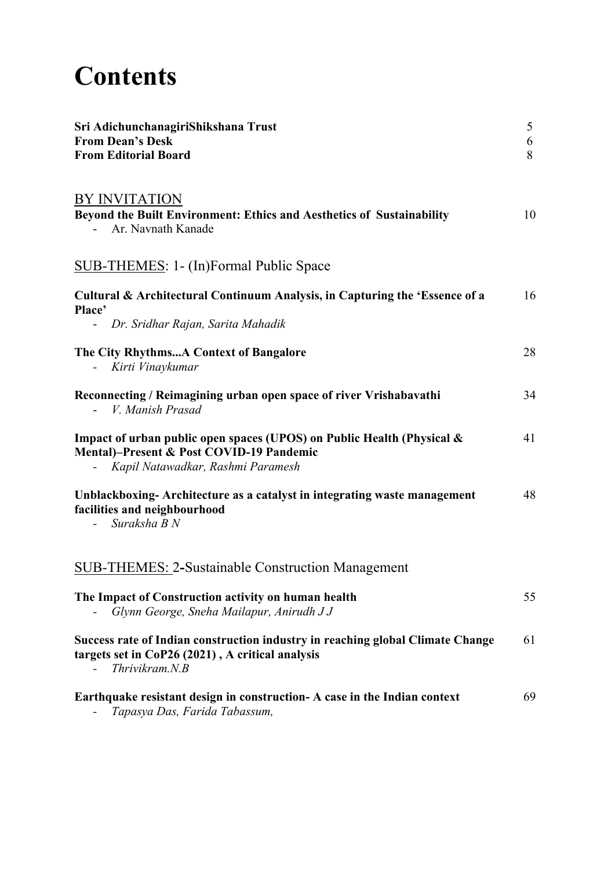## **Contents**

| Sri AdichunchanagiriShikshana Trust<br><b>From Dean's Desk</b>                                                                                          | 5      |
|---------------------------------------------------------------------------------------------------------------------------------------------------------|--------|
| <b>From Editorial Board</b>                                                                                                                             | 6<br>8 |
|                                                                                                                                                         |        |
| BY INVITATION                                                                                                                                           |        |
| Beyond the Built Environment: Ethics and Aesthetics of Sustainability<br>Ar. Navnath Kanade                                                             | 10     |
| <b>SUB-THEMES: 1- (In)Formal Public Space</b>                                                                                                           |        |
| Cultural & Architectural Continuum Analysis, in Capturing the 'Essence of a                                                                             | 16     |
| Place'<br>- Dr. Sridhar Rajan, Sarita Mahadik                                                                                                           |        |
| The City RhythmsA Context of Bangalore<br>Kirti Vinaykumar                                                                                              | 28     |
| Reconnecting / Reimagining urban open space of river Vrishabavathi<br>V. Manish Prasad                                                                  | 34     |
| Impact of urban public open spaces (UPOS) on Public Health (Physical &<br>Mental)-Present & Post COVID-19 Pandemic<br>Kapil Natawadkar, Rashmi Paramesh | 41     |
| Unblackboxing-Architecture as a catalyst in integrating waste management<br>facilities and neighbourhood<br>Suraksha B N                                | 48     |
| <b>SUB-THEMES: 2-Sustainable Construction Management</b>                                                                                                |        |
| The Impact of Construction activity on human health<br>Glynn George, Sneha Mailapur, Anirudh J J                                                        | 55     |
| Success rate of Indian construction industry in reaching global Climate Change<br>targets set in CoP26 (2021), A critical analysis<br>Thrivikram.N.B    | 61     |
| Earthquake resistant design in construction- A case in the Indian context<br>Tapasya Das, Farida Tabassum,                                              | 69     |